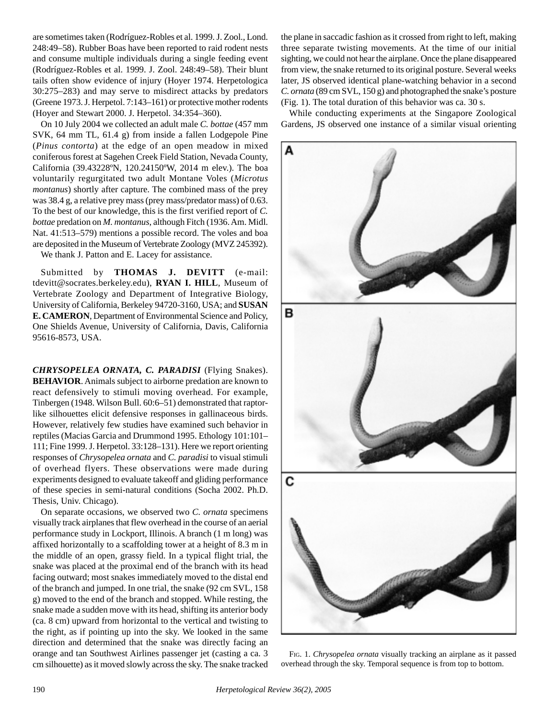are sometimes taken (Rodríguez-Robles et al. 1999. J. Zool., Lond. 248:49–58). Rubber Boas have been reported to raid rodent nests and consume multiple individuals during a single feeding event (Rodríguez-Robles et al. 1999. J. Zool. 248:49–58). Their blunt tails often show evidence of injury (Hoyer 1974. Herpetologica 30:275–283) and may serve to misdirect attacks by predators (Greene 1973. J. Herpetol. 7:143–161) or protective mother rodents (Hoyer and Stewart 2000. J. Herpetol. 34:354–360).

On 10 July 2004 we collected an adult male *C. bottae* (457 mm SVK, 64 mm TL, 61.4 g) from inside a fallen Lodgepole Pine (*Pinus contorta*) at the edge of an open meadow in mixed coniferous forest at Sagehen Creek Field Station, Nevada County, California (39.43228ºN, 120.24150ºW, 2014 m elev.). The boa voluntarily regurgitated two adult Montane Voles (*Microtus montanus*) shortly after capture. The combined mass of the prey was 38.4 g, a relative prey mass (prey mass/predator mass) of 0.63. To the best of our knowledge, this is the first verified report of *C. bottae* predation on *M. montanus*, although Fitch (1936. Am. Midl. Nat. 41:513–579) mentions a possible record. The voles and boa are deposited in the Museum of Vertebrate Zoology (MVZ 245392).

We thank J. Patton and E. Lacey for assistance.

Submitted by **THOMAS J. DEVITT** (e-mail: tdevitt@socrates.berkeley.edu), **RYAN I. HILL**, Museum of Vertebrate Zoology and Department of Integrative Biology, University of California, Berkeley 94720-3160, USA; and **SUSAN E. CAMERON**, Department of Environmental Science and Policy, One Shields Avenue, University of California, Davis, California 95616-8573, USA.

*CHRYSOPELEA ORNATA, C. PARADISI* (Flying Snakes). **BEHAVIOR**. Animals subject to airborne predation are known to react defensively to stimuli moving overhead. For example, Tinbergen (1948. Wilson Bull. 60:6–51) demonstrated that raptorlike silhouettes elicit defensive responses in gallinaceous birds. However, relatively few studies have examined such behavior in reptiles (Macias Garcia and Drummond 1995. Ethology 101:101– 111; Fine 1999. J. Herpetol. 33:128–131). Here we report orienting responses of *Chrysopelea ornata* and *C. paradisi* to visual stimuli of overhead flyers. These observations were made during experiments designed to evaluate takeoff and gliding performance of these species in semi-natural conditions (Socha 2002. Ph.D. Thesis, Univ. Chicago).

On separate occasions, we observed two *C. ornata* specimens visually track airplanes that flew overhead in the course of an aerial performance study in Lockport, Illinois. A branch (1 m long) was affixed horizontally to a scaffolding tower at a height of 8.3 m in the middle of an open, grassy field. In a typical flight trial, the snake was placed at the proximal end of the branch with its head facing outward; most snakes immediately moved to the distal end of the branch and jumped. In one trial, the snake (92 cm SVL, 158 g) moved to the end of the branch and stopped. While resting, the snake made a sudden move with its head, shifting its anterior body (ca. 8 cm) upward from horizontal to the vertical and twisting to the right, as if pointing up into the sky. We looked in the same direction and determined that the snake was directly facing an orange and tan Southwest Airlines passenger jet (casting a ca. 3 cm silhouette) as it moved slowly across the sky. The snake tracked

the plane in saccadic fashion as it crossed from right to left, making three separate twisting movements. At the time of our initial sighting, we could not hear the airplane. Once the plane disappeared from view, the snake returned to its original posture. Several weeks later, JS observed identical plane-watching behavior in a second *C. ornata* (89 cm SVL, 150 g) and photographed the snake's posture (Fig. 1). The total duration of this behavior was ca. 30 s.

While conducting experiments at the Singapore Zoological Gardens, JS observed one instance of a similar visual orienting



FIG. 1. *Chrysopelea ornata* visually tracking an airplane as it passed overhead through the sky. Temporal sequence is from top to bottom.